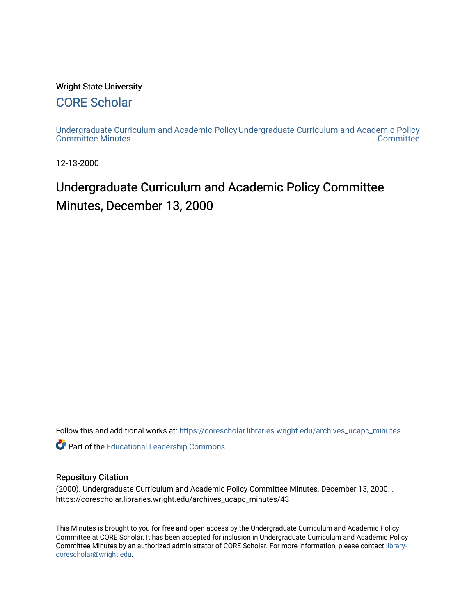#### Wright State University

### [CORE Scholar](https://corescholar.libraries.wright.edu/)

[Undergraduate Curriculum and Academic Policy](https://corescholar.libraries.wright.edu/archives_ucapc_minutes) [Undergraduate Curriculum and Academic Policy](https://corescholar.libraries.wright.edu/archives_ucapc)  [Committee Minutes](https://corescholar.libraries.wright.edu/archives_ucapc_minutes) **Committee** 

12-13-2000

## Undergraduate Curriculum and Academic Policy Committee Minutes, December 13, 2000

Follow this and additional works at: [https://corescholar.libraries.wright.edu/archives\\_ucapc\\_minutes](https://corescholar.libraries.wright.edu/archives_ucapc_minutes?utm_source=corescholar.libraries.wright.edu%2Farchives_ucapc_minutes%2F43&utm_medium=PDF&utm_campaign=PDFCoverPages) 

Part of the [Educational Leadership Commons](http://network.bepress.com/hgg/discipline/1230?utm_source=corescholar.libraries.wright.edu%2Farchives_ucapc_minutes%2F43&utm_medium=PDF&utm_campaign=PDFCoverPages) 

#### Repository Citation

(2000). Undergraduate Curriculum and Academic Policy Committee Minutes, December 13, 2000. . https://corescholar.libraries.wright.edu/archives\_ucapc\_minutes/43

This Minutes is brought to you for free and open access by the Undergraduate Curriculum and Academic Policy Committee at CORE Scholar. It has been accepted for inclusion in Undergraduate Curriculum and Academic Policy Committee Minutes by an authorized administrator of CORE Scholar. For more information, please contact [library](mailto:library-corescholar@wright.edu)[corescholar@wright.edu](mailto:library-corescholar@wright.edu).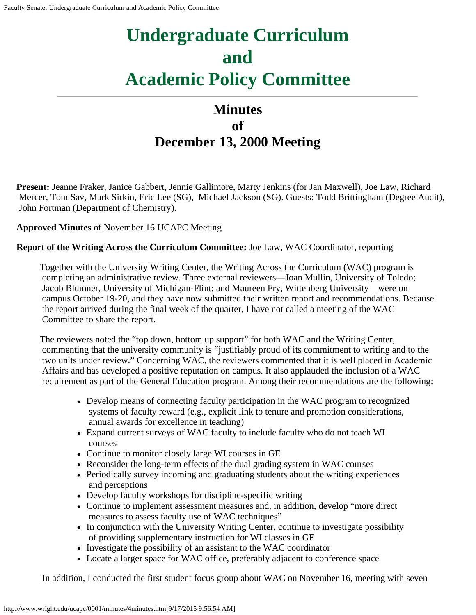# **Undergraduate Curriculum and Academic Policy Committee**

## **Minutes of December 13, 2000 Meeting**

**Present:** Jeanne Fraker, Janice Gabbert, Jennie Gallimore, Marty Jenkins (for Jan Maxwell), Joe Law, Richard Mercer, Tom Sav, Mark Sirkin, Eric Lee (SG), Michael Jackson (SG). Guests: Todd Brittingham (Degree Audit), John Fortman (Department of Chemistry).

**Approved Minutes** of November 16 UCAPC Meeting

**Report of the Writing Across the Curriculum Committee:** Joe Law, WAC Coordinator, reporting

Together with the University Writing Center, the Writing Across the Curriculum (WAC) program is completing an administrative review. Three external reviewers—Joan Mullin, University of Toledo; Jacob Blumner, University of Michigan-Flint; and Maureen Fry, Wittenberg University—were on campus October 19-20, and they have now submitted their written report and recommendations. Because the report arrived during the final week of the quarter, I have not called a meeting of the WAC Committee to share the report.

The reviewers noted the "top down, bottom up support" for both WAC and the Writing Center, commenting that the university community is "justifiably proud of its commitment to writing and to the two units under review." Concerning WAC, the reviewers commented that it is well placed in Academic Affairs and has developed a positive reputation on campus. It also applauded the inclusion of a WAC requirement as part of the General Education program. Among their recommendations are the following:

- Develop means of connecting faculty participation in the WAC program to recognized systems of faculty reward (e.g., explicit link to tenure and promotion considerations, annual awards for excellence in teaching)
- Expand current surveys of WAC faculty to include faculty who do not teach WI courses
- Continue to monitor closely large WI courses in GE
- Reconsider the long-term effects of the dual grading system in WAC courses
- Periodically survey incoming and graduating students about the writing experiences and perceptions
- Develop faculty workshops for discipline-specific writing
- Continue to implement assessment measures and, in addition, develop "more direct measures to assess faculty use of WAC techniques"
- In conjunction with the University Writing Center, continue to investigate possibility of providing supplementary instruction for WI classes in GE
- Investigate the possibility of an assistant to the WAC coordinator
- Locate a larger space for WAC office, preferably adjacent to conference space

In addition, I conducted the first student focus group about WAC on November 16, meeting with seven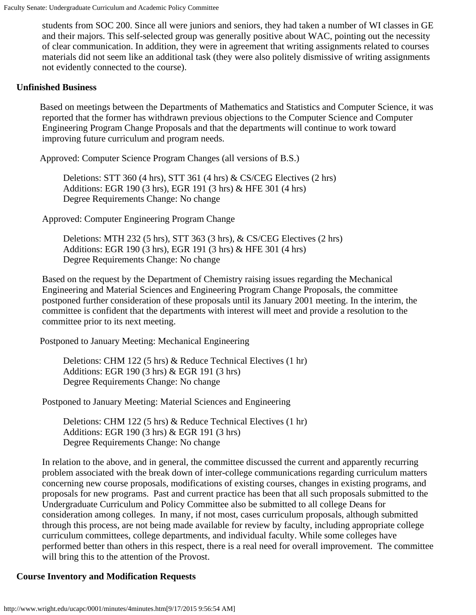students from SOC 200. Since all were juniors and seniors, they had taken a number of WI classes in GE and their majors. This self-selected group was generally positive about WAC, pointing out the necessity of clear communication. In addition, they were in agreement that writing assignments related to courses materials did not seem like an additional task (they were also politely dismissive of writing assignments not evidently connected to the course).

#### **Unfinished Business**

Based on meetings between the Departments of Mathematics and Statistics and Computer Science, it was reported that the former has withdrawn previous objections to the Computer Science and Computer Engineering Program Change Proposals and that the departments will continue to work toward improving future curriculum and program needs.

Approved: Computer Science Program Changes (all versions of B.S.)

Deletions: STT 360 (4 hrs), STT 361 (4 hrs) & CS/CEG Electives (2 hrs) Additions: EGR 190 (3 hrs), EGR 191 (3 hrs) & HFE 301 (4 hrs) Degree Requirements Change: No change

Approved: Computer Engineering Program Change

Deletions: MTH 232 (5 hrs), STT 363 (3 hrs), & CS/CEG Electives (2 hrs) Additions: EGR 190 (3 hrs), EGR 191 (3 hrs) & HFE 301 (4 hrs) Degree Requirements Change: No change

Based on the request by the Department of Chemistry raising issues regarding the Mechanical Engineering and Material Sciences and Engineering Program Change Proposals, the committee postponed further consideration of these proposals until its January 2001 meeting. In the interim, the committee is confident that the departments with interest will meet and provide a resolution to the committee prior to its next meeting.

Postponed to January Meeting: Mechanical Engineering

Deletions: CHM 122 (5 hrs) & Reduce Technical Electives (1 hr) Additions: EGR 190 (3 hrs) & EGR 191 (3 hrs) Degree Requirements Change: No change

Postponed to January Meeting: Material Sciences and Engineering

Deletions: CHM 122 (5 hrs) & Reduce Technical Electives (1 hr) Additions: EGR 190 (3 hrs) & EGR 191 (3 hrs) Degree Requirements Change: No change

In relation to the above, and in general, the committee discussed the current and apparently recurring problem associated with the break down of inter-college communications regarding curriculum matters concerning new course proposals, modifications of existing courses, changes in existing programs, and proposals for new programs. Past and current practice has been that all such proposals submitted to the Undergraduate Curriculum and Policy Committee also be submitted to all college Deans for consideration among colleges. In many, if not most, cases curriculum proposals, although submitted through this process, are not being made available for review by faculty, including appropriate college curriculum committees, college departments, and individual faculty. While some colleges have performed better than others in this respect, there is a real need for overall improvement. The committee will bring this to the attention of the Provost.

#### **Course Inventory and Modification Requests**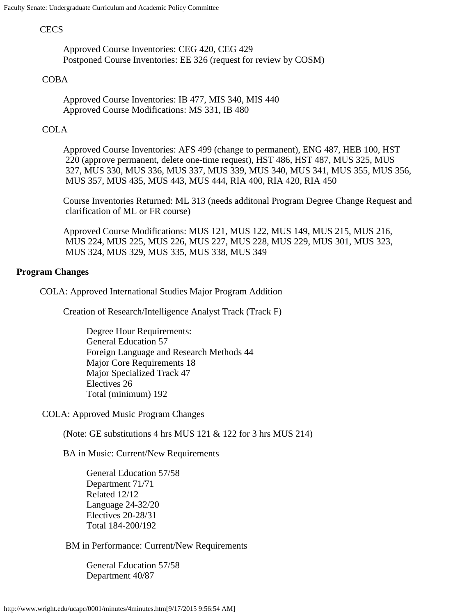#### **CECS**

Approved Course Inventories: CEG 420, CEG 429 Postponed Course Inventories: EE 326 (request for review by COSM)

#### COBA

Approved Course Inventories: IB 477, MIS 340, MIS 440 Approved Course Modifications: MS 331, IB 480

#### COLA

Approved Course Inventories: AFS 499 (change to permanent), ENG 487, HEB 100, HST 220 (approve permanent, delete one-time request), HST 486, HST 487, MUS 325, MUS 327, MUS 330, MUS 336, MUS 337, MUS 339, MUS 340, MUS 341, MUS 355, MUS 356, MUS 357, MUS 435, MUS 443, MUS 444, RIA 400, RIA 420, RIA 450

Course Inventories Returned: ML 313 (needs additonal Program Degree Change Request and clarification of ML or FR course)

Approved Course Modifications: MUS 121, MUS 122, MUS 149, MUS 215, MUS 216, MUS 224, MUS 225, MUS 226, MUS 227, MUS 228, MUS 229, MUS 301, MUS 323, MUS 324, MUS 329, MUS 335, MUS 338, MUS 349

#### **Program Changes**

COLA: Approved International Studies Major Program Addition

Creation of Research/Intelligence Analyst Track (Track F)

Degree Hour Requirements: General Education 57 Foreign Language and Research Methods 44 Major Core Requirements 18 Major Specialized Track 47 Electives 26 Total (minimum) 192

COLA: Approved Music Program Changes

(Note: GE substitutions 4 hrs MUS  $121 \& 122$  for 3 hrs MUS  $214$ )

BA in Music: Current/New Requirements

General Education 57/58 Department 71/71 Related 12/12 Language 24-32/20 Electives 20-28/31 Total 184-200/192

BM in Performance: Current/New Requirements

General Education 57/58 Department 40/87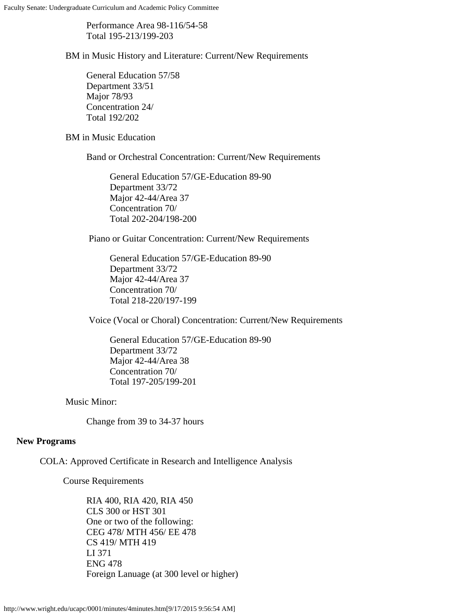Performance Area 98-116/54-58 Total 195-213/199-203

BM in Music History and Literature: Current/New Requirements

General Education 57/58 Department 33/51 Major 78/93 Concentration 24/ Total 192/202

BM in Music Education

Band or Orchestral Concentration: Current/New Requirements

General Education 57/GE-Education 89-90 Department 33/72 Major 42-44/Area 37 Concentration 70/ Total 202-204/198-200

Piano or Guitar Concentration: Current/New Requirements

General Education 57/GE-Education 89-90 Department 33/72 Major 42-44/Area 37 Concentration 70/ Total 218-220/197-199

Voice (Vocal or Choral) Concentration: Current/New Requirements

General Education 57/GE-Education 89-90 Department 33/72 Major 42-44/Area 38 Concentration 70/ Total 197-205/199-201

Music Minor:

Change from 39 to 34-37 hours

#### **New Programs**

COLA: Approved Certificate in Research and Intelligence Analysis

Course Requirements

RIA 400, RIA 420, RIA 450 CLS 300 or HST 301 One or two of the following: CEG 478/ MTH 456/ EE 478 CS 419/ MTH 419 LI 371 ENG 478 Foreign Lanuage (at 300 level or higher)